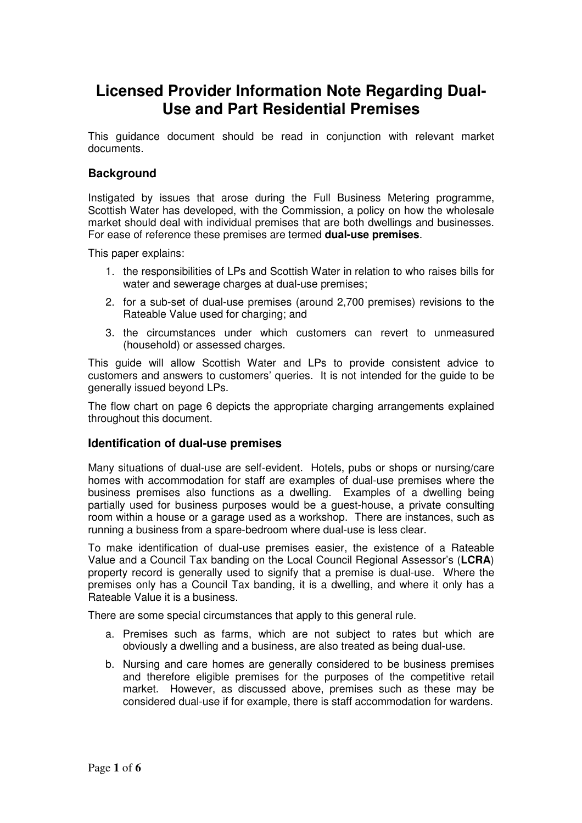# **Licensed Provider Information Note Regarding Dual-Use and Part Residential Premises**

This guidance document should be read in conjunction with relevant market documents.

### **Background**

Instigated by issues that arose during the Full Business Metering programme, Scottish Water has developed, with the Commission, a policy on how the wholesale market should deal with individual premises that are both dwellings and businesses. For ease of reference these premises are termed **dual-use premises**.

This paper explains:

- 1. the responsibilities of LPs and Scottish Water in relation to who raises bills for water and sewerage charges at dual-use premises;
- 2. for a sub-set of dual-use premises (around 2,700 premises) revisions to the Rateable Value used for charging; and
- 3. the circumstances under which customers can revert to unmeasured (household) or assessed charges.

This guide will allow Scottish Water and LPs to provide consistent advice to customers and answers to customers' queries. It is not intended for the guide to be generally issued beyond LPs.

The flow chart on page 6 depicts the appropriate charging arrangements explained throughout this document.

#### **Identification of dual-use premises**

Many situations of dual-use are self-evident. Hotels, pubs or shops or nursing/care homes with accommodation for staff are examples of dual-use premises where the business premises also functions as a dwelling. Examples of a dwelling being partially used for business purposes would be a guest-house, a private consulting room within a house or a garage used as a workshop. There are instances, such as running a business from a spare-bedroom where dual-use is less clear.

To make identification of dual-use premises easier, the existence of a Rateable Value and a Council Tax banding on the Local Council Regional Assessor's (**LCRA**) property record is generally used to signify that a premise is dual-use. Where the premises only has a Council Tax banding, it is a dwelling, and where it only has a Rateable Value it is a business.

There are some special circumstances that apply to this general rule.

- a. Premises such as farms, which are not subject to rates but which are obviously a dwelling and a business, are also treated as being dual-use.
- b. Nursing and care homes are generally considered to be business premises and therefore eligible premises for the purposes of the competitive retail market. However, as discussed above, premises such as these may be considered dual-use if for example, there is staff accommodation for wardens.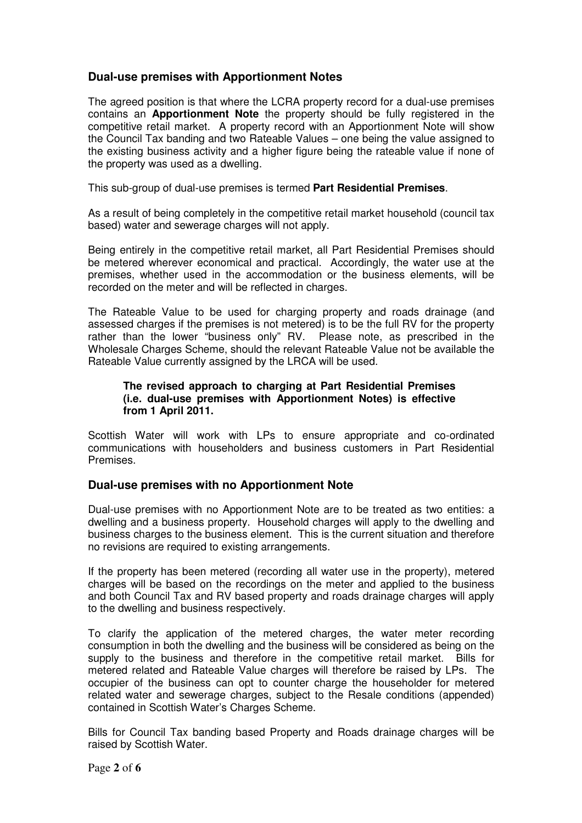### **Dual-use premises with Apportionment Notes**

The agreed position is that where the LCRA property record for a dual-use premises contains an **Apportionment Note** the property should be fully registered in the competitive retail market. A property record with an Apportionment Note will show the Council Tax banding and two Rateable Values – one being the value assigned to the existing business activity and a higher figure being the rateable value if none of the property was used as a dwelling.

This sub-group of dual-use premises is termed **Part Residential Premises**.

As a result of being completely in the competitive retail market household (council tax based) water and sewerage charges will not apply.

Being entirely in the competitive retail market, all Part Residential Premises should be metered wherever economical and practical. Accordingly, the water use at the premises, whether used in the accommodation or the business elements, will be recorded on the meter and will be reflected in charges.

The Rateable Value to be used for charging property and roads drainage (and assessed charges if the premises is not metered) is to be the full RV for the property rather than the lower "business only" RV. Please note, as prescribed in the Wholesale Charges Scheme, should the relevant Rateable Value not be available the Rateable Value currently assigned by the LRCA will be used.

#### **The revised approach to charging at Part Residential Premises (i.e. dual-use premises with Apportionment Notes) is effective from 1 April 2011.**

Scottish Water will work with LPs to ensure appropriate and co-ordinated communications with householders and business customers in Part Residential Premises.

### **Dual-use premises with no Apportionment Note**

Dual-use premises with no Apportionment Note are to be treated as two entities: a dwelling and a business property. Household charges will apply to the dwelling and business charges to the business element. This is the current situation and therefore no revisions are required to existing arrangements.

If the property has been metered (recording all water use in the property), metered charges will be based on the recordings on the meter and applied to the business and both Council Tax and RV based property and roads drainage charges will apply to the dwelling and business respectively.

To clarify the application of the metered charges, the water meter recording consumption in both the dwelling and the business will be considered as being on the supply to the business and therefore in the competitive retail market. Bills for metered related and Rateable Value charges will therefore be raised by LPs. The occupier of the business can opt to counter charge the householder for metered related water and sewerage charges, subject to the Resale conditions (appended) contained in Scottish Water's Charges Scheme.

Bills for Council Tax banding based Property and Roads drainage charges will be raised by Scottish Water.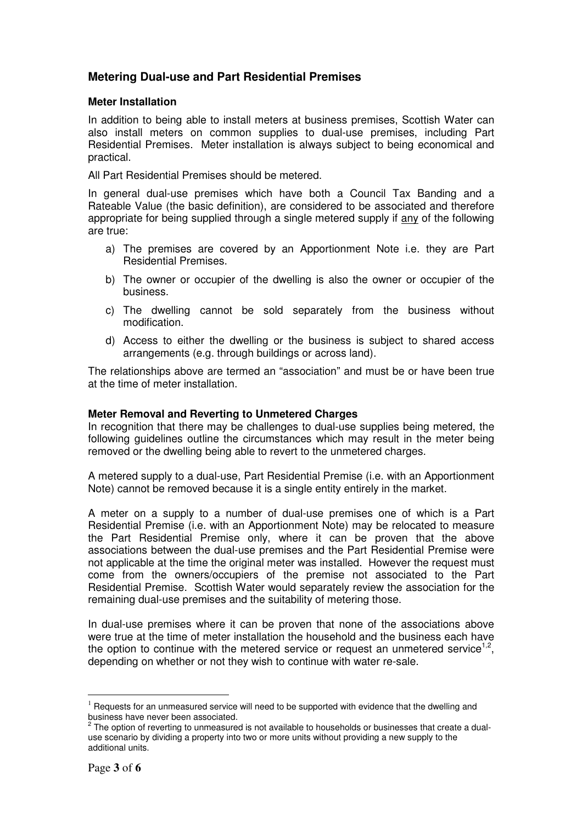## **Metering Dual-use and Part Residential Premises**

#### **Meter Installation**

In addition to being able to install meters at business premises, Scottish Water can also install meters on common supplies to dual-use premises, including Part Residential Premises. Meter installation is always subject to being economical and practical.

All Part Residential Premises should be metered.

In general dual-use premises which have both a Council Tax Banding and a Rateable Value (the basic definition), are considered to be associated and therefore appropriate for being supplied through a single metered supply if any of the following are true:

- a) The premises are covered by an Apportionment Note i.e. they are Part Residential Premises.
- b) The owner or occupier of the dwelling is also the owner or occupier of the business.
- c) The dwelling cannot be sold separately from the business without modification.
- d) Access to either the dwelling or the business is subject to shared access arrangements (e.g. through buildings or across land).

The relationships above are termed an "association" and must be or have been true at the time of meter installation.

#### **Meter Removal and Reverting to Unmetered Charges**

In recognition that there may be challenges to dual-use supplies being metered, the following guidelines outline the circumstances which may result in the meter being removed or the dwelling being able to revert to the unmetered charges.

A metered supply to a dual-use, Part Residential Premise (i.e. with an Apportionment Note) cannot be removed because it is a single entity entirely in the market.

A meter on a supply to a number of dual-use premises one of which is a Part Residential Premise (i.e. with an Apportionment Note) may be relocated to measure the Part Residential Premise only, where it can be proven that the above associations between the dual-use premises and the Part Residential Premise were not applicable at the time the original meter was installed. However the request must come from the owners/occupiers of the premise not associated to the Part Residential Premise. Scottish Water would separately review the association for the remaining dual-use premises and the suitability of metering those.

In dual-use premises where it can be proven that none of the associations above were true at the time of meter installation the household and the business each have the option to continue with the metered service or request an unmetered service<sup>1,2</sup>, depending on whether or not they wish to continue with water re-sale.

 $\overline{a}$ 

 $<sup>1</sup>$  Requests for an unmeasured service will need to be supported with evidence that the dwelling and</sup> business have never been associated.

 $^{2}$  The option of reverting to unmeasured is not available to households or businesses that create a dualuse scenario by dividing a property into two or more units without providing a new supply to the additional units.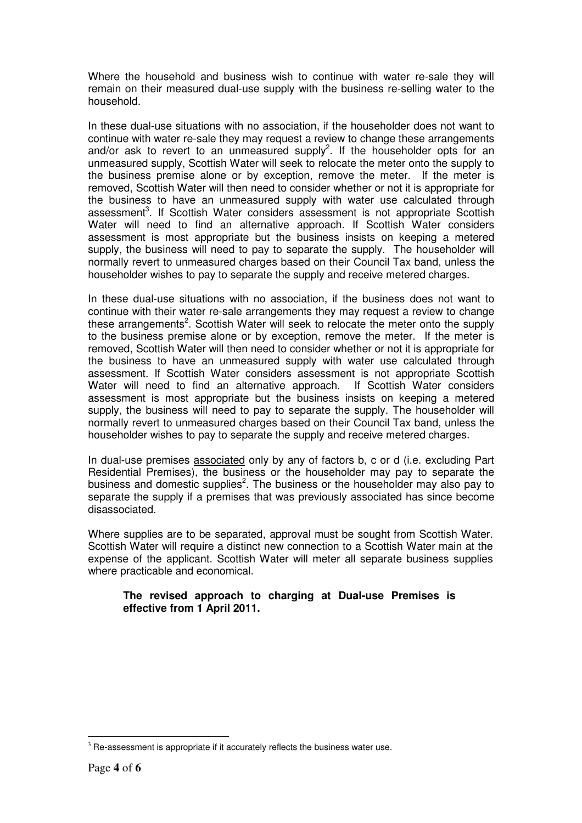Where the household and business wish to continue with water re-sale they will remain on their measured dual-use supply with the business re-selling water to the household.

In these dual-use situations with no association, if the householder does not want to continue with water re-sale they may request a review to change these arrangements and/or ask to revert to an unmeasured supply<sup>2</sup>. If the householder opts for an unmeasured supply, Scottish Water will seek to relocate the meter onto the supply to the business premise alone or by exception, remove the meter. If the meter is removed, Scottish Water will then need to consider whether or not it is appropriate for the business to have an unmeasured supply with water use calculated through assessment<sup>3</sup>. If Scottish Water considers assessment is not appropriate Scottish Water will need to find an alternative approach. If Scottish Water considers assessment is most appropriate but the business insists on keeping a metered supply, the business will need to pay to separate the supply. The householder will normally revert to unmeasured charges based on their Council Tax band, unless the householder wishes to pay to separate the supply and receive metered charges.

In these dual-use situations with no association, if the business does not want to continue with their water re-sale arrangements they may request a review to change these arrangements<sup>2</sup>. Scottish Water will seek to relocate the meter onto the supply to the business premise alone or by exception, remove the meter. If the meter is removed, Scottish Water will then need to consider whether or not it is appropriate for the business to have an unmeasured supply with water use calculated through assessment. If Scottish Water considers assessment is not appropriate Scottish Water will need to find an alternative approach. If Scottish Water considers assessment is most appropriate but the business insists on keeping a metered supply, the business will need to pay to separate the supply. The householder will normally revert to unmeasured charges based on their Council Tax band, unless the householder wishes to pay to separate the supply and receive metered charges.

In dual-use premises associated only by any of factors b, c or d (i.e. excluding Part Residential Premises), the business or the householder may pay to separate the business and domestic supplies<sup>2</sup>. The business or the householder may also pay to separate the supply if a premises that was previously associated has since become disassociated.

Where supplies are to be separated, approval must be sought from Scottish Water. Scottish Water will require a distinct new connection to a Scottish Water main at the expense of the applicant. Scottish Water will meter all separate business supplies where practicable and economical.

### **The revised approach to charging at Dual-use Premises is effective from 1 April 2011.**

 $\overline{a}$  $3$  Re-assessment is appropriate if it accurately reflects the business water use.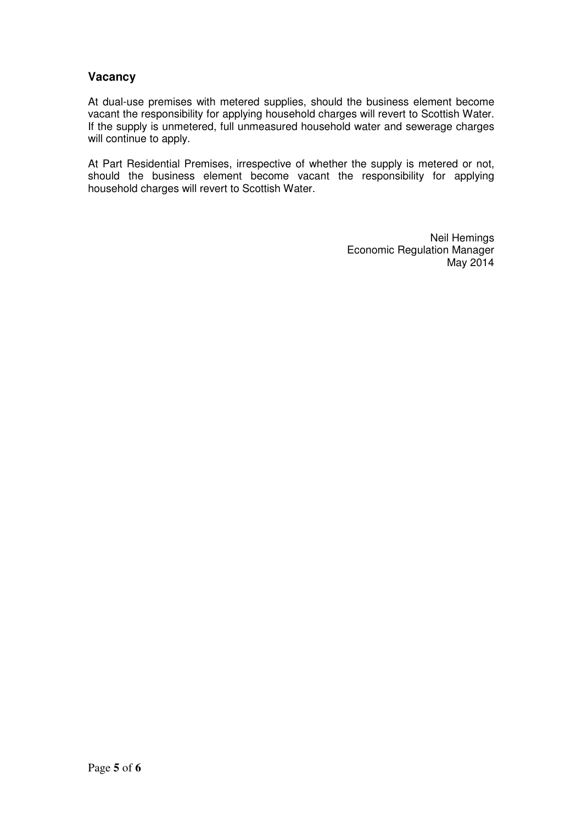## **Vacancy**

At dual-use premises with metered supplies, should the business element become vacant the responsibility for applying household charges will revert to Scottish Water. If the supply is unmetered, full unmeasured household water and sewerage charges will continue to apply.

At Part Residential Premises, irrespective of whether the supply is metered or not, should the business element become vacant the responsibility for applying household charges will revert to Scottish Water.

> Neil Hemings Economic Regulation Manager May 2014